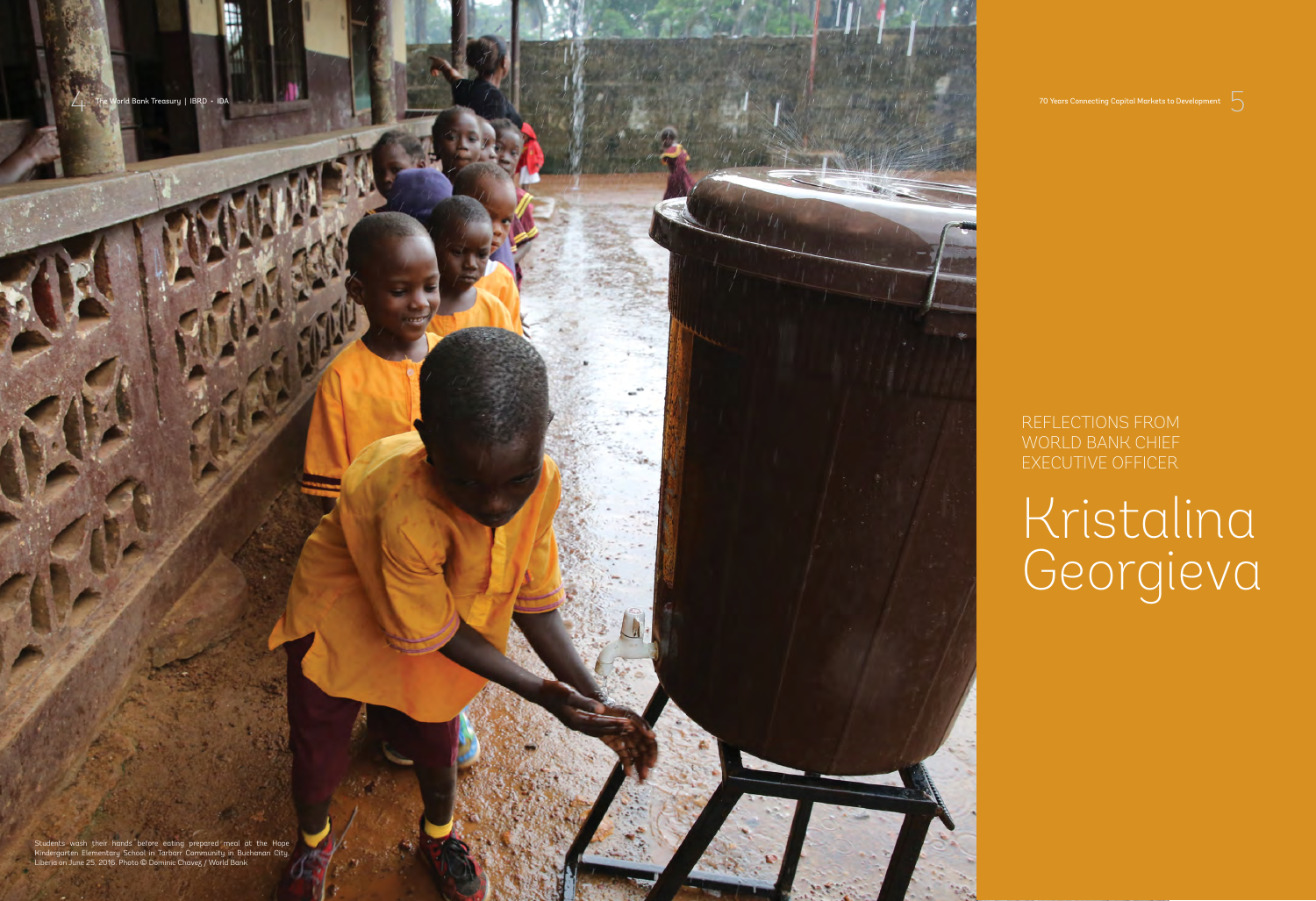4 The World Bank Treasury | IBRD • IDA 70 Years Connecting Capital Markets to Development 5



REFLECTIONS FROM WORLD BANK CHIEF EXECUTIVE OFFICER

## Kristalina Georgieva

Students wash their hands before eating prepared meal at the Hope Kindergarten Elementary School in Tarbarr Community in Buchanan City, Liberia on June 25, 2016. Photo © Dominic Chavez / World Bank